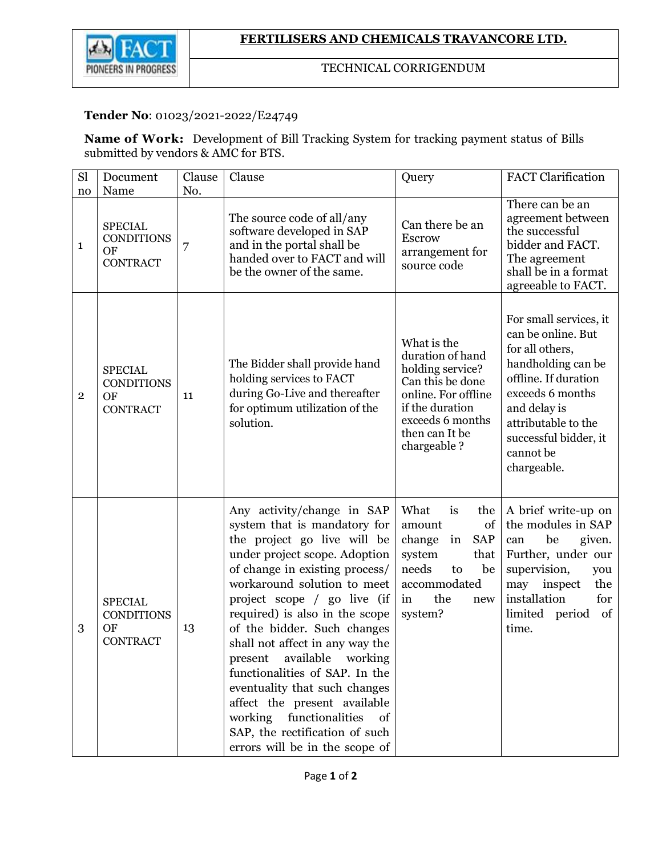

## TECHNICAL CORRIGENDUM

## **Tender No**: 01023/2021-2022/E24749

**Name of Work:** Development of Bill Tracking System for tracking payment status of Bills submitted by vendors & AMC for BTS.

| Sl             | Document                                                             | Clause   | Clause                                                                                                                                                                                                                                                                                                                                                                                                                                                                                                                                                                       | Query                                                                                                                                                                  | <b>FACT</b> Clarification                                                                                                                                                                                                     |
|----------------|----------------------------------------------------------------------|----------|------------------------------------------------------------------------------------------------------------------------------------------------------------------------------------------------------------------------------------------------------------------------------------------------------------------------------------------------------------------------------------------------------------------------------------------------------------------------------------------------------------------------------------------------------------------------------|------------------------------------------------------------------------------------------------------------------------------------------------------------------------|-------------------------------------------------------------------------------------------------------------------------------------------------------------------------------------------------------------------------------|
| no<br>1        | Name<br><b>SPECIAL</b><br><b>CONDITIONS</b><br>OF<br><b>CONTRACT</b> | No.<br>7 | The source code of all/any<br>software developed in SAP<br>and in the portal shall be<br>handed over to FACT and will<br>be the owner of the same.                                                                                                                                                                                                                                                                                                                                                                                                                           | Can there be an<br>Escrow<br>arrangement for<br>source code                                                                                                            | There can be an<br>agreement between<br>the successful<br>bidder and FACT.<br>The agreement<br>shall be in a format<br>agreeable to FACT.                                                                                     |
| $\overline{2}$ | <b>SPECIAL</b><br><b>CONDITIONS</b><br>OF<br><b>CONTRACT</b>         | 11       | The Bidder shall provide hand<br>holding services to FACT<br>during Go-Live and thereafter<br>for optimum utilization of the<br>solution.                                                                                                                                                                                                                                                                                                                                                                                                                                    | What is the<br>duration of hand<br>holding service?<br>Can this be done<br>online. For offline<br>if the duration<br>exceeds 6 months<br>then can It be<br>chargeable? | For small services, it<br>can be online. But<br>for all others,<br>handholding can be<br>offline. If duration<br>exceeds 6 months<br>and delay is<br>attributable to the<br>successful bidder, it<br>cannot be<br>chargeable. |
| 3              | <b>SPECIAL</b><br><b>CONDITIONS</b><br>OF<br><b>CONTRACT</b>         | 13       | Any activity/change in SAP<br>system that is mandatory for<br>the project go live will be<br>under project scope. Adoption<br>of change in existing process/<br>workaround solution to meet<br>project scope / go live (if<br>required) is also in the scope<br>of the bidder. Such changes<br>shall not affect in any way the<br>present<br>available<br>working<br>functionalities of SAP. In the<br>eventuality that such changes<br>affect the present available<br>working<br>functionalities<br>of<br>SAP, the rectification of such<br>errors will be in the scope of | What<br>is<br>the<br>of<br>amount<br>change<br>in<br><b>SAP</b><br>system<br>that<br>needs<br>be<br>to<br>accommodated<br>the<br>in<br>new<br>system?                  | A brief write-up on<br>the modules in SAP<br>be<br>given.<br>can<br>Further, under our<br>supervision,<br>you<br>may<br>inspect<br>the<br>installation<br>for<br>limited period of<br>time.                                   |